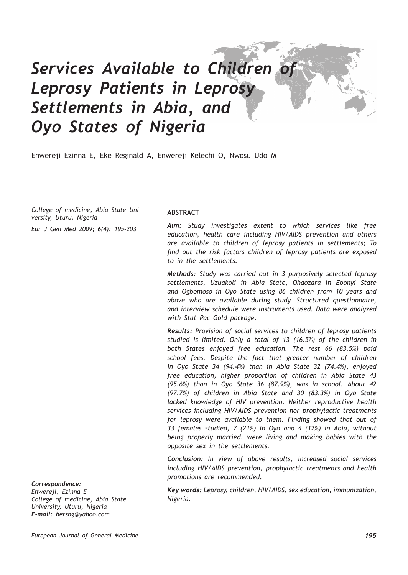# *Services Available to Children of Leprosy Patients in Leprosy Settlements in Abia, and Oyo States of Nigeria*

Enwereji Ezinna E, Eke Reginald A, Enwereji Kelechi O, Nwosu Udo M

*College of medicine, Abia State University, Uturu, Nigeria*

*Eur J Gen Med 2009; 6(4): 195-203*

# *Correspondence:*

*Enwereji, Ezinna E College of medicine, Abia State University, Uturu, Nigeria E-mail: hersng@yahoo.com*

# **ABSTRACT**

*Aim: Study investigates extent to which services like free education, health care including HIV/AIDS prevention and others are available to children of leprosy patients in settlements; To find out the risk factors children of leprosy patients are exposed to in the settlements.*

*Methods: Study was carried out in 3 purposively selected leprosy settlements, Uzuakoli in Abia State, Ohaozara in Ebonyi State and Ogbomoso in Oyo State using 86 children from 10 years and above who are available during study. Structured questionnaire, and interview schedule were instruments used. Data were analyzed with Stat Pac Gold package.*

*Results: Provision of social services to children of leprosy patients studied is limited. Only a total of 13 (16.5%) of the children in both States enjoyed free education. The rest 66 (83.5%) paid school fees. Despite the fact that greater number of children in Oyo State 34 (94.4%) than in Abia State 32 (74.4%), enjoyed free education, higher proportion of children in Abia State 43 (95.6%) than in Oyo State 36 (87.9%), was in school. About 42 (97.7%) of children in Abia State and 30 (83.3%) in Oyo State lacked knowledge of HIV prevention. Neither reproductive health services including HIV/AIDS prevention nor prophylactic treatments for leprosy were available to them. Finding showed that out of 33 females studied, 7 (21%) in Oyo and 4 (12%) in Abia, without being properly married, were living and making babies with the opposite sex in the settlements.* 

*Conclusion: In view of above results, increased social services including HIV/AIDS prevention, prophylactic treatments and health promotions are recommended.*

*Key words: Leprosy, children, HIV/AIDS, sex education, immunization, Nigeria.*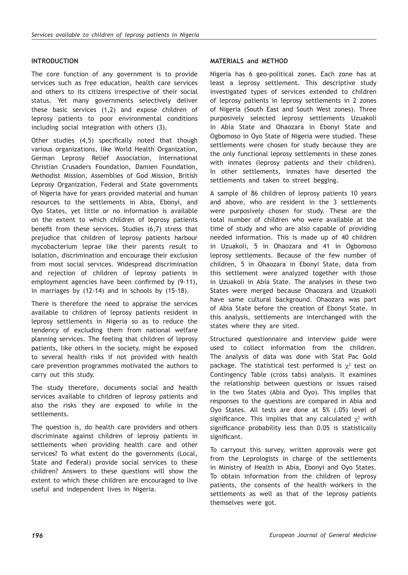# **INTRODUCTION**

The core function of any government is to provide services such as free education, health care services and others to its citizens irrespective of their social status. Yet many governments selectively deliver these basic services (1,2) and expose children of leprosy patients to poor environmental conditions including social integration with others (3).

Other studies (4,5) specifically noted that though various organizations, like World Health Organization, German Leprosy Relief Association, International Christian Crusaders Foundation, Damien Foundation, Methodist Mission, Assemblies of God Mission, British Leprosy Organization, Federal and State governments of Nigeria have for years provided material and human resources to the settlements in Abia, Ebonyi, and Oyo States, yet little or no information is available on the extent to which children of leprosy patients benefit from these services. Studies (6,7) stress that prejudice that children of leprosy patients harbour mycobacterium leprae like their parents result to isolation, discrimination and encourage their exclusion from most social services. Widespread discrimination and rejection of children of leprosy patients in employment agencies have been confirmed by (9-11), in marriages by (12-14) and in schools by (15-18).

There is therefore the need to appraise the services available to children of leprosy patients resident in leprosy settlements in Nigeria so as to reduce the tendency of excluding them from national welfare planning services. The feeling that children of leprosy patients, like others in the society, might be exposed to several health risks if not provided with health care prevention programmes motivated the authors to carry out this study.

The study therefore, documents social and health services available to children of leprosy patients and also the risks they are exposed to while in the settlements.

The question is, do health care providers and others discriminate against children of leprosy patients in settlements when providing health care and other services? To what extent do the governments (Local, State and Federal) provide social services to these children? Answers to these questions will show the extent to which these children are encouraged to live useful and independent lives in Nigeria.

# **MATERIALS and METHOD**

Nigeria has 6 geo-political zones. Each zone has at least a leprosy settlement. This descriptive study investigated types of services extended to children of leprosy patients in leprosy settlements in 2 zones of Nigeria (South East and South West zones). Three purposively selected leprosy settlements Uzuakoli in Abia State and Ohaozara in Ebonyi State and Ogbomoso in Oyo State of Nigeria were studied. These settlements were chosen for study because they are the only functional leprosy settlements in these zones with inmates (leprosy patients and their children). In other settlements, inmates have deserted the settlements and taken to street begging.

A sample of 86 children of leprosy patients 10 years and above, who are resident in the 3 settlements were purposively chosen for study. These are the total number of children who were available at the time of study and who are also capable of providing needed information. This is made up of 40 children in Uzuakoli, 5 in Ohaozara and 41 in Ogbomoso leprosy settlements. Because of the few number of children, 5 in Ohaozara in Ebonyi State, data from this settlement were analyzed together with those in Uzuakoli in Abia State. The analyses in these two States were merged because Ohaozara and Uzuakoli have same cultural background. Ohaozara was part of Abia State before the creation of Ebonyi State. In this analysis, settlements are interchanged with the states where they are sited.

Structured questionnaire and interview guide were used to collect information from the children. The analysis of data was done with Stat Pac Gold package. The statistical test performed is  $\chi^2$  test on Contingency Table (cross tabs) analysis. It examines the relationship between questions or issues raised in the two States (Abia and Oyo). This implies that responses to the questions are compared in Abia and Oyo States. All tests are done at 5% (.05) level of significance. This implies that any calculated  $\chi^2$  with significance probability less than 0.05 is statistically significant.

To carryout this survey, written approvals were got from the Leprologists in charge of the settlements in Ministry of Health in Abia, Ebonyi and Oyo States. To obtain information from the children of leprosy patients, the consents of the health workers in the settlements as well as that of the leprosy patients themselves were got.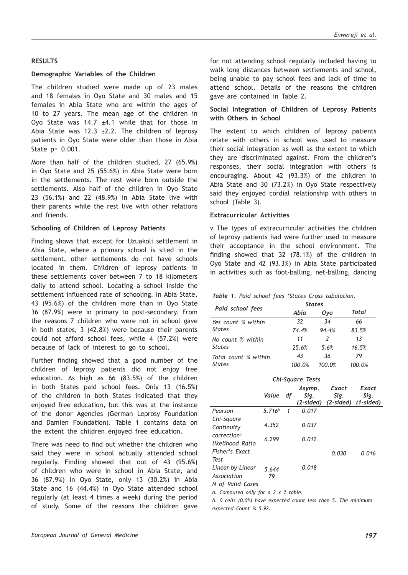# **RESULTS**

# **Demographic Variables of the Children**

The children studied were made up of 23 males and 18 females in Oyo State and 30 males and 15 females in Abia State who are within the ages of 10 to 27 years. The mean age of the children in Oyo State was 14.7  $\pm$ 4.1 while that for those in Abia State was 12.3  $\pm$ 2.2. The children of leprosy patients in Oyo State were older than those in Abia State p= 0.001.

More than half of the children studied, 27 (65.9%) in Oyo State and 25 (55.6%) in Abia State were born in the settlements. The rest were born outside the settlements. Also half of the children in Oyo State 23 (56.1%) and 22 (48.9%) in Abia State live with their parents while the rest live with other relations and friends.

# **Schooling of Children of Leprosy Patients**

Finding shows that except for Uzuakoli settlement in Abia State, where a primary school is sited in the settlement, other settlements do not have schools located in them. Children of leprosy patients in these settlements cover between 7 to 18 kilometers daily to attend school. Locating a school inside the settlement influenced rate of schooling. In Abia State, 43 (95.6%) of the children more than in Oyo State 36 (87.9%) were in primary to post–secondary. From the reasons 7 children who were not in school gave in both states, 3 (42.8%) were because their parents could not afford school fees, while 4 (57.2%) were because of lack of interest to go to school.

Further finding showed that a good number of the children of leprosy patients did not enjoy free education. As high as 66 (83.5%) of the children in both States paid school fees. Only 13 (16.5%) of the children in both States indicated that they enjoyed free education, but this was at the instance of the donor Agencies (German Leprosy Foundation and Damien Foundation). Table 1 contains data on the extent the children enjoyed free education.

There was need to find out whether the children who said they were in school actually attended school regularly. Finding showed that out of 43 (95.6%) of children who were in school in Abia State, and 36 (87.9%) in Oyo State, only 13 (30.2%) in Abia State and 16 (44.4%) in Oyo State attended school regularly (at least 4 times a week) during the period of study. Some of the reasons the children gave for not attending school regularly included having to walk long distances between settlements and school, being unable to pay school fees and lack of time to attend school. Details of the reasons the children gave are contained in Table 2.

# **Social Integration of Children of Leprosy Patients with Others in School**

The extent to which children of leprosy patients relate with others in school was used to measure their social integration as well as the extent to which they are discriminated against. From the children's responses, their social integration with others is encouraging. About 42 (93.3%) of the children in Abia State and 30 (73.2%) in Oyo State respectively said they enjoyed cordial relationship with others in school (Table 3).

# **Extracurricular Activities**

v The types of extracurricular activities the children of leprosy patients had were further used to measure their acceptance in the school environment. The finding showed that 32 (78.1%) of the children in Oyo State and 42 (93.3%) in Abia State participated in activities such as foot-balling, net-balling, dancing

|  |  |  |  |  |  |  | Table 1. Paid school fees *States Cross tabulation. |
|--|--|--|--|--|--|--|-----------------------------------------------------|
|--|--|--|--|--|--|--|-----------------------------------------------------|

|                      | <b>States</b> |        |        |
|----------------------|---------------|--------|--------|
| Paid school fees     | Abia          | Oyo    | Total  |
| Yes count % within   | 32            | 34     | 66     |
| <b>States</b>        | 74.4%         | 94.4%  | 83.5%  |
| No count % within    | 11            | 2      | 13     |
| <b>States</b>        | 25.6%         | 5.6%   | 16.5%  |
| Total count % within | 43            | 36     | 79     |
| <b>States</b>        | 100.0%        | 100.0% | 100.0% |

|                                            |                    |    | Chi-Square Tests |                                                |               |
|--------------------------------------------|--------------------|----|------------------|------------------------------------------------|---------------|
|                                            | Value              | df | Asymp.<br>Sig.   | Exact<br>Sig.<br>(2-sided) (2-sided) (1-sided) | Exact<br>Sig. |
| Pearson                                    | 5.716 <sup>b</sup> | 1  | 0.017            |                                                |               |
| Chi-Square<br>Continuity                   | 4.352              |    | 0.037            |                                                |               |
| correction <sup>a</sup>                    | 6.299              |    | 0.012            |                                                |               |
| likelihood Ratio<br>Fisher's Fxact<br>Test |                    |    |                  | 0.030                                          | 0.016         |
| Linear-by-Linear                           | 5.644              |    | 0.018            |                                                |               |
| Association                                | 79                 |    |                  |                                                |               |
| N of Valid Cases                           |                    |    |                  |                                                |               |
| a. Computed only for a 2 x 2 table.        |                    |    |                  |                                                |               |

*b. 0 cells (0.0%) have expected count less than 5. The minimum expected Count is 5.92.*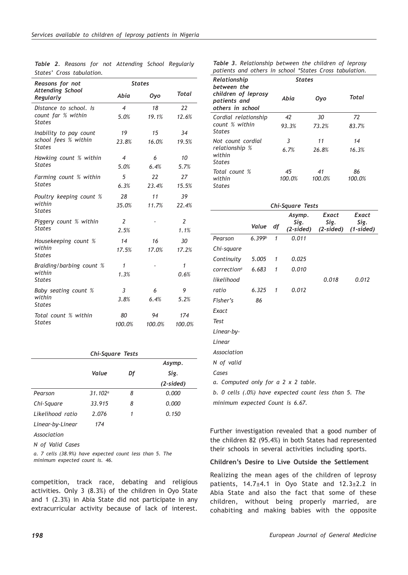| Reasons for not                       | <b>States</b>            |        |                |  |
|---------------------------------------|--------------------------|--------|----------------|--|
| <b>Attending School</b><br>Regularly  | Abia                     | Oyo    | Total          |  |
| Distance to school. Is                | $\overline{4}$           | 18     | 22             |  |
| count far % within<br><b>States</b>   | 5.0%                     | 19.1%  | 12.6%          |  |
| Inability to pay count                | 19                       | 15     | 34             |  |
| school fees % within<br><b>States</b> | 23.8%                    | 16.0%  | 19.5%          |  |
| Hawking count % within                | $\overline{\mathcal{A}}$ | 6      | 10             |  |
| <b>States</b>                         | 5.0%                     | 6.4%   | 5.7%           |  |
| Farming count % within                | 5                        | 22     | 27             |  |
| <b>States</b>                         | 6.3%                     | 23.4%  | 15.5%          |  |
| Poultry keeping count %               | 28                       | 11     | 39             |  |
| within<br><b>States</b>               | 35.0%                    | 11.7%  | 22.4%          |  |
| Piggery count % within                | $\overline{2}$           |        | $\overline{2}$ |  |
| <b>States</b>                         | 2.5%                     |        | 1.1%           |  |
| Housekeeping count %                  | 14                       | 16     | 30             |  |
| within<br><b>States</b>               | 17.5%                    | 17.0%  | 17.2%          |  |
| Braiding/barbing count %              | 1                        |        | 1              |  |
| within<br><b>States</b>               | 1.3%                     |        | 0.6%           |  |
| Baby seating count %                  | 3                        | 6      | 9              |  |
| within<br><b>States</b>               | 3.8%                     | 6.4%   | 5.2%           |  |
| Total count % within                  | 80                       | 94     | 174            |  |
| <b>States</b>                         | 100.0%                   | 100.0% | 100.0%         |  |

|  |                           |  | <b>Table 2.</b> Reasons for not Attending School Regularly |  |
|--|---------------------------|--|------------------------------------------------------------|--|
|  | States' Cross tabulation. |  |                                                            |  |

#### *Chi-Square Tests Value Df Asymp. Sig. (2-sided) Pearson Chi-Square Likelihood ratio Linear-by-Linear 31.102a 33.915 2.076 174 8 8 1 0.000 0.000 0.150*

*Association*

*N of Valid Cases*

*a. 7 cells (38.9%) have expected count less than 5. The minimum expected count is. 46.*

competition, track race, debating and religious activities. Only 3 (8.3%) of the children in Oyo State and 1 (2.3%) in Abia State did not participate in any extracurricular activity because of lack of interest.

*Table 3. Relationship between the children of leprosy patients and others in school \*States Cross tabulation.*

| Relationship<br>between the                             | <b>States</b> |        |        |
|---------------------------------------------------------|---------------|--------|--------|
| children of leprosy<br>patients and<br>others in school | Abia          | Oyo    | Total  |
| Cordial relationship                                    | 42            | 30     | 72     |
| count % within<br><b>States</b>                         | 93.3%         | 73.2%  | 83.7%  |
| Not count cordial                                       | 3             | 11     | 14     |
| relationship %<br>within<br><b>States</b>               | 6.7%          | 26.8%  | 16.3%  |
| Total count %                                           | 45            | 41     | 86     |
| within<br><b>States</b>                                 | 100.0%        | 100.0% | 100.0% |

| Chi-Square Tests                                      |                    |   |                             |                            |                              |  |  |  |  |
|-------------------------------------------------------|--------------------|---|-----------------------------|----------------------------|------------------------------|--|--|--|--|
|                                                       | Value df           |   | Asymp.<br>Sig.<br>(2-sided) | Exact<br>Sig.<br>(2-sided) | Exact<br>Sig.<br>$(1-sided)$ |  |  |  |  |
| Pearson                                               | 6.399 <sup>b</sup> | 1 | 0.011                       |                            |                              |  |  |  |  |
| Chi-square                                            |                    |   |                             |                            |                              |  |  |  |  |
| Continuity                                            | 5.005              | 1 | 0.025                       |                            |                              |  |  |  |  |
| correction <sup>a</sup>                               | 6.683              | 1 | 0.010                       |                            |                              |  |  |  |  |
| likelihood                                            |                    |   |                             | 0.018                      | 0.012                        |  |  |  |  |
| ratio                                                 | 6.325              | 1 | 0.012                       |                            |                              |  |  |  |  |
| Fisher's                                              | 86                 |   |                             |                            |                              |  |  |  |  |
| Exact                                                 |                    |   |                             |                            |                              |  |  |  |  |
| Test                                                  |                    |   |                             |                            |                              |  |  |  |  |
| Linear-by-                                            |                    |   |                             |                            |                              |  |  |  |  |
| Linear                                                |                    |   |                             |                            |                              |  |  |  |  |
| Association                                           |                    |   |                             |                            |                              |  |  |  |  |
| N of valid                                            |                    |   |                             |                            |                              |  |  |  |  |
| Cases                                                 |                    |   |                             |                            |                              |  |  |  |  |
| a. Computed only for a 2 x 2 table.                   |                    |   |                             |                            |                              |  |  |  |  |
| b. 0 cells (.0%) have expected count less than 5. The |                    |   |                             |                            |                              |  |  |  |  |
| minimum expected Count is 6.67.                       |                    |   |                             |                            |                              |  |  |  |  |

Further investigation revealed that a good number of the children 82 (95.4%) in both States had represented their schools in several activities including sports.

## **Children's Desire to Live Outside the Settlement**

Realizing the mean ages of the children of leprosy patients, 14.7±4.1 in Oyo State and 12.3±2.2 in Abia State and also the fact that some of these children, without being properly married, are cohabiting and making babies with the opposite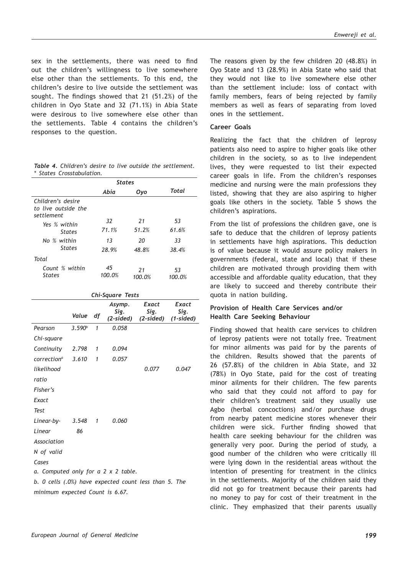sex in the settlements, there was need to find out the children's willingness to live somewhere else other than the settlements. To this end, the children's desire to live outside the settlement was sought. The findings showed that 21 (51.2%) of the children in Oyo State and 32 (71.1%) in Abia State were desirous to live somewhere else other than the settlements. Table 4 contains the children's responses to the question.

|                           |  |  | <b>Table 4.</b> Children's desire to live outside the settlement. |
|---------------------------|--|--|-------------------------------------------------------------------|
| * States Crosstabulation. |  |  |                                                                   |

|                                                        | <b>States</b> |              |              |
|--------------------------------------------------------|---------------|--------------|--------------|
|                                                        | Abia          | Oyo          | Total        |
| Children's desire<br>to live outside the<br>settlement |               |              |              |
|                                                        | 32            | 21           | 53           |
| Yes % within<br><b>States</b>                          | 71.1%         | 51.2%        | 61.6%        |
| No % within                                            | 13            | 20           | 33           |
| <b>States</b>                                          | 28.9%         | 48.8%        | 38.4%        |
| Total                                                  |               |              |              |
| Count % within<br><b>States</b>                        | 45<br>100.0%  | 21<br>100.0% | 53<br>100.0% |

|                                                       | Chi-Square Tests   |    |                             |                            |                              |  |  |  |  |  |
|-------------------------------------------------------|--------------------|----|-----------------------------|----------------------------|------------------------------|--|--|--|--|--|
|                                                       | Value              | df | Asymp.<br>Sig.<br>(2-sided) | Exact<br>Sig.<br>(2-sided) | Exact<br>Sig.<br>$(1-sided)$ |  |  |  |  |  |
| Pearson                                               | 3.590 <sup>b</sup> | 1  | 0.058                       |                            |                              |  |  |  |  |  |
| Chi-square                                            |                    |    |                             |                            |                              |  |  |  |  |  |
| Continuity                                            | 2.798              | 1  | 0.094                       |                            |                              |  |  |  |  |  |
| correction <sup>a</sup>                               | 3.610              | 1  | 0.057                       |                            |                              |  |  |  |  |  |
| likelihood                                            |                    |    |                             | 0.077                      | 0.047                        |  |  |  |  |  |
| ratio                                                 |                    |    |                             |                            |                              |  |  |  |  |  |
| Fisher's                                              |                    |    |                             |                            |                              |  |  |  |  |  |
| Exact                                                 |                    |    |                             |                            |                              |  |  |  |  |  |
| <b>Test</b>                                           |                    |    |                             |                            |                              |  |  |  |  |  |
| Linear-by-                                            | 3.548              | 1  | 0.060                       |                            |                              |  |  |  |  |  |
| Linear                                                | 86                 |    |                             |                            |                              |  |  |  |  |  |
| Association                                           |                    |    |                             |                            |                              |  |  |  |  |  |
| N of valid                                            |                    |    |                             |                            |                              |  |  |  |  |  |
| Cases                                                 |                    |    |                             |                            |                              |  |  |  |  |  |
| a. Computed only for a 2 x 2 table.                   |                    |    |                             |                            |                              |  |  |  |  |  |
| b. 0 cells (.0%) have expected count less than 5. The |                    |    |                             |                            |                              |  |  |  |  |  |
| minimum expected Count is 6.67.                       |                    |    |                             |                            |                              |  |  |  |  |  |

The reasons given by the few children 20 (48.8%) in Oyo State and 13 (28.9%) in Abia State who said that they would not like to live somewhere else other than the settlement include: loss of contact with family members, fears of being rejected by family members as well as fears of separating from loved ones in the settlement.

# **Career Goals**

Realizing the fact that the children of leprosy patients also need to aspire to higher goals like other children in the society, so as to live independent lives, they were requested to list their expected career goals in life. From the children's responses medicine and nursing were the main professions they listed, showing that they are also aspiring to higher goals like others in the society. Table 5 shows the children's aspirations.

From the list of professions the children gave, one is safe to deduce that the children of leprosy patients in settlements have high aspirations. This deduction is of value because it would assure policy makers in governments (federal, state and local) that if these children are motivated through providing them with accessible and affordable quality education, that they are likely to succeed and thereby contribute their quota in nation building.

# **Provision of Health Care Services and/or Health Care Seeking Behaviour**

Finding showed that health care services to children of leprosy patients were not totally free. Treatment for minor ailments was paid for by the parents of the children. Results showed that the parents of 26 (57.8%) of the children in Abia State, and 32 (78%) in Oyo State, paid for the cost of treating minor ailments for their children. The few parents who said that they could not afford to pay for their children's treatment said they usually use Agbo (herbal concoctions) and/or purchase drugs from nearby patent medicine stores whenever their children were sick. Further finding showed that health care seeking behaviour for the children was generally very poor. During the period of study, a good number of the children who were critically ill were lying down in the residential areas without the intention of presenting for treatment in the clinics in the settlements. Majority of the children said they did not go for treatment because their parents had no money to pay for cost of their treatment in the clinic. They emphasized that their parents usually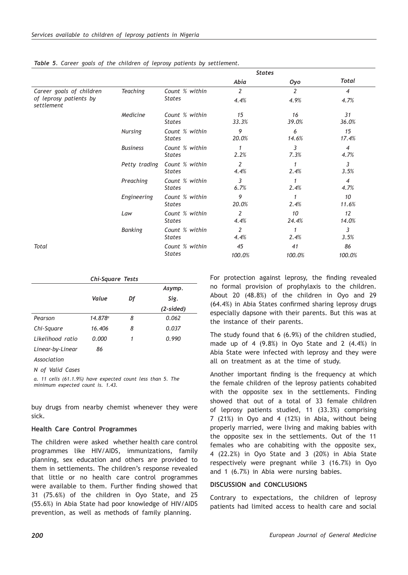|                                                    |                 |                                 | <b>States</b>          |                        |                        |
|----------------------------------------------------|-----------------|---------------------------------|------------------------|------------------------|------------------------|
|                                                    |                 |                                 | Abia                   | Oyo                    | <b>Total</b>           |
| Career goals of children<br>of leprosy patients by | <b>Teaching</b> | Count % within<br><b>States</b> | $\overline{2}$<br>4.4% | $\overline{2}$<br>4.9% | $\overline{4}$<br>4.7% |
| settlement                                         | Medicine        | Count % within<br><b>States</b> | 15<br>33.3%            | 16<br>39.0%            | 31<br>36.0%            |
|                                                    | Nursing         | Count % within<br><b>States</b> | 9<br>20.0%             | 6<br>14.6%             | 15<br>17.4%            |
|                                                    | <b>Business</b> | Count % within<br><b>States</b> | 1<br>2.2%              | 3<br>7.3%              | $\overline{4}$<br>4.7% |
|                                                    | Petty trading   | Count % within<br><b>States</b> | 2<br>4.4%              | $\mathbf{1}$<br>2.4%   | 3<br>3.5%              |
|                                                    | Preaching       | Count % within<br><b>States</b> | 3<br>6.7%              | $\mathbf{1}$<br>2.4%   | $\overline{4}$<br>4.7% |
|                                                    | Engineering     | Count % within<br><b>States</b> | 9<br>20.0%             | $\mathbf{1}$<br>2.4%   | 10<br>11.6%            |
|                                                    | Law             | Count % within<br><b>States</b> | 2<br>4.4%              | 10<br>24.4%            | 12<br>14.0%            |
|                                                    | Banking         | Count % within<br><b>States</b> | 2<br>4.4%              | 1<br>2.4%              | 3<br>3.5%              |
| Total                                              |                 | Count % within<br><b>States</b> | 45<br>100.0%           | 41<br>100.0%           | 86<br>100.0%           |

|  |  |  |  |  |  |  |  |  |  |  | Table 5. Career goals of the children of leprosy patients by settlement. |
|--|--|--|--|--|--|--|--|--|--|--|--------------------------------------------------------------------------|
|--|--|--|--|--|--|--|--|--|--|--|--------------------------------------------------------------------------|

|                  | <b>Chi-Square Tests</b> |    |             |
|------------------|-------------------------|----|-------------|
|                  |                         |    | Asymp.      |
|                  | Value                   | Df | Sig.        |
|                  |                         |    | $(2-sided)$ |
| Pearson          | $14.878^{\circ}$        | 8  | 0.062       |
| Chi-Square       | 16,406                  | 8  | 0.037       |
| Likelihood ratio | 0.000                   | 1  | 0.990       |
| Linear-by-Linear | 86                      |    |             |

*Association*

*N of Valid Cases*

*a. 11 cells (61.1.9%) have expected count less than 5. The minimum expected count is. 1.43.*

buy drugs from nearby chemist whenever they were sick.

# **Health Care Control Programmes**

The children were asked whether health care control programmes like HIV/AIDS, immunizations, family planning, sex education and others are provided to them in settlements. The children's response revealed that little or no health care control programmes were available to them. Further finding showed that 31 (75.6%) of the children in Oyo State, and 25 (55.6%) in Abia State had poor knowledge of HIV/AIDS prevention, as well as methods of family planning.

For protection against leprosy, the finding revealed no formal provision of prophylaxis to the children. About 20 (48.8%) of the children in Oyo and 29 (64.4%) in Abia States confirmed sharing leprosy drugs especially dapsone with their parents. But this was at the instance of their parents.

The study found that 6 (6.9%) of the children studied, made up of 4 (9.8%) in Oyo State and 2 (4.4%) in Abia State were infected with leprosy and they were all on treatment as at the time of study.

Another important finding is the frequency at which the female children of the leprosy patients cohabited with the opposite sex in the settlements. Finding showed that out of a total of 33 female children of leprosy patients studied, 11 (33.3%) comprising 7 (21%) in Oyo and 4 (12%) in Abia, without being properly married, were living and making babies with the opposite sex in the settlements. Out of the 11 females who are cohabiting with the opposite sex, 4 (22.2%) in Oyo State and 3 (20%) in Abia State respectively were pregnant while 3 (16.7%) in Oyo and 1 (6.7%) in Abia were nursing babies.

# **DISCUSSION and CONCLUSIONS**

Contrary to expectations, the children of leprosy patients had limited access to health care and social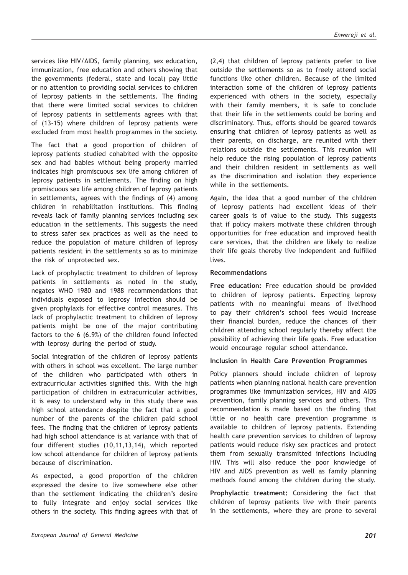services like HIV/AIDS, family planning, sex education, immunization, free education and others showing that the governments (federal, state and local) pay little or no attention to providing social services to children of leprosy patients in the settlements. The finding that there were limited social services to children of leprosy patients in settlements agrees with that of (13-15) where children of leprosy patients were excluded from most health programmes in the society.

The fact that a good proportion of children of leprosy patients studied cohabited with the opposite sex and had babies without being properly married indicates high promiscuous sex life among children of leprosy patients in settlements. The finding on high promiscuous sex life among children of leprosy patients in settlements, agrees with the findings of (4) among children in rehabilitation institutions. This finding reveals lack of family planning services including sex education in the settlements. This suggests the need to stress safer sex practices as well as the need to reduce the population of mature children of leprosy patients resident in the settlements so as to minimize the risk of unprotected sex.

Lack of prophylactic treatment to children of leprosy patients in settlements as noted in the study, negates WHO 1980 and 1988 recommendations that individuals exposed to leprosy infection should be given prophylaxis for effective control measures. This lack of prophylactic treatment to children of leprosy patients might be one of the major contributing factors to the 6 (6.9%) of the children found infected with leprosy during the period of study.

Social integration of the children of leprosy patients with others in school was excellent. The large number of the children who participated with others in extracurricular activities signified this. With the high participation of children in extracurricular activities, it is easy to understand why in this study there was high school attendance despite the fact that a good number of the parents of the children paid school fees. The finding that the children of leprosy patients had high school attendance is at variance with that of four different studies (10,11,13,14), which reported low school attendance for children of leprosy patients because of discrimination.

As expected, a good proportion of the children expressed the desire to live somewhere else other than the settlement indicating the children's desire to fully integrate and enjoy social services like others in the society. This finding agrees with that of

(2,4) that children of leprosy patients prefer to live outside the settlements so as to freely attend social functions like other children. Because of the limited interaction some of the children of leprosy patients experienced with others in the society, especially with their family members, it is safe to conclude that their life in the settlements could be boring and discriminatory. Thus, efforts should be geared towards ensuring that children of leprosy patients as well as their parents, on discharge, are reunited with their relations outside the settlements. This reunion will help reduce the rising population of leprosy patients and their children resident in settlements as well as the discrimination and isolation they experience while in the settlements.

Again, the idea that a good number of the children of leprosy patients had excellent ideas of their career goals is of value to the study. This suggests that if policy makers motivate these children through opportunities for free education and improved health care services, that the children are likely to realize their life goals thereby live independent and fulfilled lives.

# **Recommendations**

**Free education:** Free education should be provided to children of leprosy patients. Expecting leprosy patients with no meaningful means of livelihood to pay their children's school fees would increase their financial burden, reduce the chances of their children attending school regularly thereby affect the possibility of achieving their life goals. Free education would encourage regular school attendance.

# **Inclusion in Health Care Prevention Programmes**

Policy planners should include children of leprosy patients when planning national health care prevention programmes like immunization services, HIV and AIDS prevention, family planning services and others. This recommendation is made based on the finding that little or no health care prevention programme is available to children of leprosy patients. Extending health care prevention services to children of leprosy patients would reduce risky sex practices and protect them from sexually transmitted infections including HIV. This will also reduce the poor knowledge of HIV and AIDS prevention as well as family planning methods found among the children during the study.

**Prophylactic treatment:** Considering the fact that children of leprosy patients live with their parents in the settlements, where they are prone to several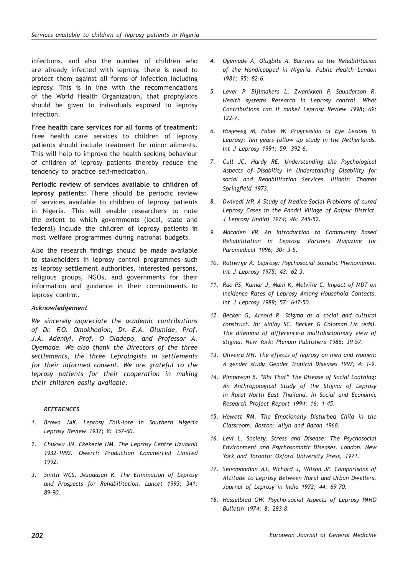infections, and also the number of children who are already infected with leprosy, there is need to protect them against all forms of infection including leprosy. This is in line with the recommendations of the World Health Organization, that prophylaxis should be given to individuals exposed to leprosy infection.

**Free health care services for all forms of treatment:** Free health care services to children of leprosy patients should include treatment for minor ailments. This will help to improve the health seeking behaviour of children of leprosy patients thereby reduce the tendency to practice self-medication.

**Periodic review of services available to children of leprosy patients:** There should be periodic review of services available to children of leprosy patients in Nigeria. This will enable researchers to note the extent to which governments (local, state and federal) include the children of leprosy patients in most welfare programmes during national budgets.

Also the research findings should be made available to stakeholders in leprosy control programmes such as leprosy settlement authorities, interested persons, religious groups, NGOs, and governments for their information and guidance in their commitments to leprosy control.

# *Acknowledgement*

*We sincerely appreciate the academic contributions of Dr. F.O. Omokhodion, Dr. E.A. Olumide, Prof. J.A. Adeniyi, Prof. O Oladepo, and Professor A. Oyemade. We also thank the Directors of the three settlements, the three Leprologists in settlements for their informed consent. We are grateful to the leprosy patients for their cooperation in making their children easily available.*

# *REFERENCES*

- *1. Brown JAK. Leprosy Folk-lore in Southern Nigeria Leprosy Review 1937; 8: 157-60.*
- *2. Chukwu JN, Ekekezie UM. The Leprosy Centre Uzuakoli 1932-1992. Owerri: Production Commercial Limited 1992.*
- *3. Smith WCS, Jesudasan K. The Elimination of Leprosy and Prospects for Rehabilitation. Lancet 1993; 341: 89-90.*
- *4. Oyemade A, Olugbile A. Barriers to the Rehabilitation of the Handicapped in Nigeria. Public Health London 1981; 95: 82-6.*
- *5. Lever P. Bijlmakers L, Zwanikken P, Saunderson R. Health systems Research in Leprosy control. What Contributions can it make? Leprosy Review 1998; 69: 122-7.*
- *6. Hogeweg M, Faber W. Progression of Eye Lesions in Leprosy: Ten years follow up study in the Netherlands. Int J Leprosy 1991; 59: 392-6.*
- *7. Cull JC, Hardy RE. Understanding the Psychological Aspects of Disability in Understanding Disability for social and Rehabilitation Services. Illinois: Thomas Springfield 1973.*
- *8. Dwivedi MP. A Study of Medico-Social Problems of cured Leprosy Cases in the Pandri Village of Raipur District. J Leprosy (India) 1974; 46: 245-52.*
- *9. Macaden VP. An Introduction to Community Based Rehabilitation in Leprosy. Partners Magazine for Paramedical 1996; 30: 3-5.*
- *10. Rotherge A. Leprosy: Psychosocial–Somatic Phenomenon. Int J Leprosy 1975; 43: 62–3.*
- *11. Rao PS, Kumar J, Mani K, Melville C. Impact of MDT on Incidence Rates of Leprosy Among Household Contacts. Int J Leprosy 1989; 57: 647-50.*
- *12. Becker G, Arnold R. Stigma as a social and cultural construct. In: Ainlay SC, Becker G Coloman LM (eds). The dilemma of difference–a multidisciplinary view of stigma. New York: Plenum Publishers 1986: 39-57.*
- *13. Oliveira MH. The effects of leprosy on men and women: A gender study. Gender Tropical Diseases 1997; 4: 1–9.*
- *14. Pimpawun B. "Khi Thut" The Disease of Social Loathing: An Anthropological Study of the Stigma of Leprosy in Rural North East Thailand. In Social and Economic Research Project Report 1994; 16: 1-45.*
- *15. Hewett RM. The Emotionally Disturbed Child in the Classroom. Boston: Allyn and Bacon 1968.*
- *16. Levi L. Society, Stress and Disease: The Psychosocial Environment and Psychosomatic Diseases. London, New York and Toronto: Oxford University Press, 1971.*
- *17. Selvapandian AJ, Richard J, Wilson JF. Comparisons of Attitude to Leprosy Between Rural and Urban Dwellers. Journal of Leprosy in India 1972; 44: 69–70.*
- *18. Hasselblad OW. Psycho-social Aspects of Leprosy PAHO Bulletin 1974; 8: 283-8.*